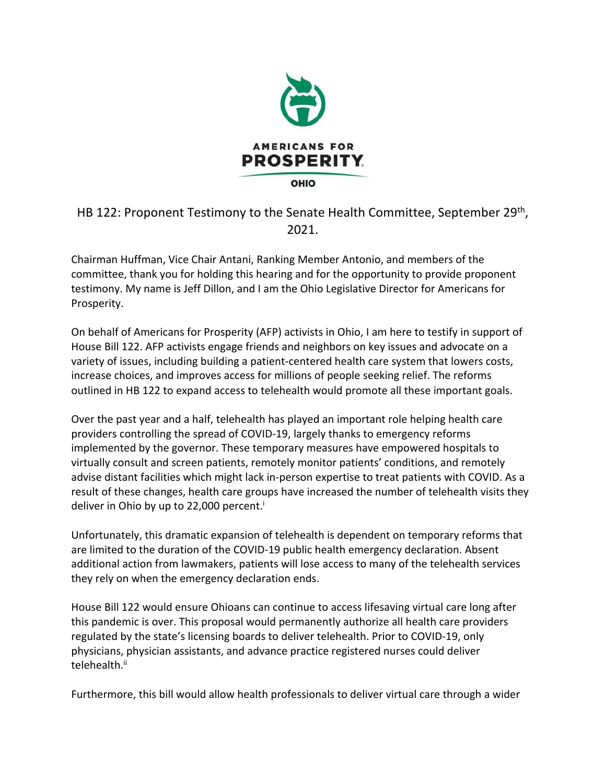

HB 122: Proponent Testimony to the Senate Health Committee, September 29<sup>th</sup>, 2021.

Chairman Huffman, Vice Chair Antani, Ranking Member Antonio, and members of the committee, thank you for holding this hearing and for the opportunity to provide proponent testimony. My name is Jeff Dillon, and I am the Ohio Legislative Director for Americans for Prosperity.

On behalf of Americans for Prosperity (AFP) activists in Ohio, I am here to testify in support of House Bill 122. AFP activists engage friends and neighbors on key issues and advocate on a variety of issues, including building a patient-centered health care system that lowers costs, increase choices, and improves access for millions of people seeking relief. The reforms outlined in HB 122 to expand access to telehealth would promote all these important goals.

Over the past year and a half, telehealth has played an important role helping health care providers controlling the spread of COVID-19, largely thanks to emergency reforms implemented by the governor. These temporary measures have empowered hospitals to virtually consult and screen patients, remotely monitor patients' conditions, and remotely advise distant facilities which might lack in-person expertise to treat patients with COVID. As a result of these changes, health care groups have increased the number of telehealth visits they deliver in Ohio by up to 22,000 percent.<sup>i</sup>

Unfortunately, this dramatic expansion of telehealth is dependent on temporary reforms that are limited to the duration of the COVID-19 public health emergency declaration. Absent additional action from lawmakers, patients will lose access to many of the telehealth services they rely on when the emergency declaration ends.

House Bill 122 would ensure Ohioans can continue to access lifesaving virtual care long after this pandemic is over. This proposal would permanently authorize all health care providers regulated by the state's licensing boards to deliver telehealth. Prior to COVID-19, only physicians, physician assistants, and advance practice registered nurses could deliver telehealth.<sup>ii</sup>

Furthermore, this bill would allow health professionals to deliver virtual care through a wider